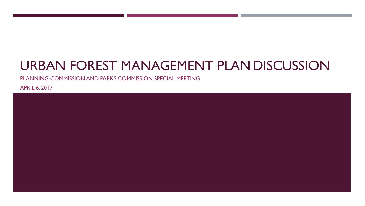# URBAN FOREST MANAGEMENT PLAN DISCUSSION

PLANNING COMMISSION AND PARKS COMMISSION SPECIAL MEETING

APRIL 6, 2017

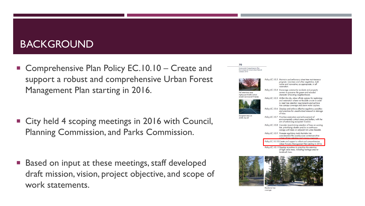## BACKGROUND

■ Comprehensive Plan Policy EC.10.10 – Create and support a robust and comprehensive Urban Forest Management Plan starting in 2016.

■ City held 4 scoping meetings in 2016 with Council, Planning Commission, and Parks Commission.

 Based on input at these meetings, staff developed draft mission, vision, project objective, and scope of work statements.



Residential tree coverage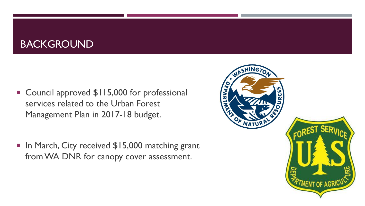## BACKGROUND

■ Council approved \$115,000 for professional services related to the Urban Forest Management Plan in 2017-18 budget.

■ In March, City received \$15,000 matching grant from WA DNR for canopy cover assessment.

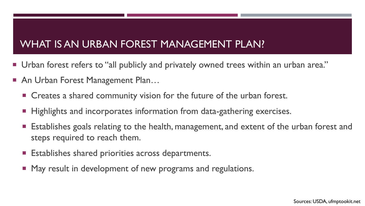## WHAT IS AN URBAN FOREST MANAGEMENT PLAN?

- Urban forest refers to "all publicly and privately owned trees within an urban area."
- An Urban Forest Management Plan...
	- Creates a shared community vision for the future of the urban forest.
	- Highlights and incorporates information from data-gathering exercises.
	- **Establishes goals relating to the health, management, and extent of the urban forest and** steps required to reach them.
	- **Establishes shared priorities across departments.**
	- **May result in development of new programs and regulations.**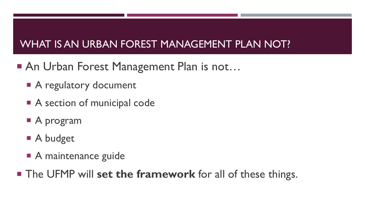## WHAT IS AN URBAN FOREST MANAGEMENT PLAN NOT?

- An Urban Forest Management Plan is not...
	- A regulatory document
	- A section of municipal code
	- A program
	- A budget
	- A maintenance guide
- The UFMP will **set the framework** for all of these things.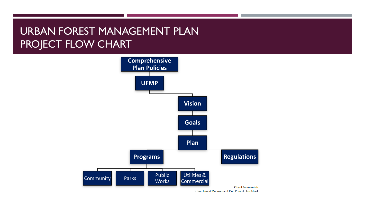## URBAN FOREST MANAGEMENT PLAN PROJECT FLOW CHART



Urban Forest Management Plan Project Flow Chart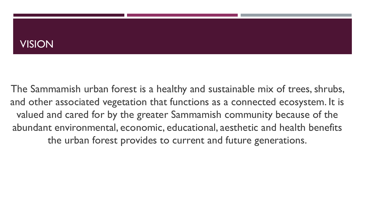### VISION

The Sammamish urban forest is a healthy and sustainable mix of trees, shrubs, and other associated vegetation that functions as a connected ecosystem. It is valued and cared for by the greater Sammamish community because of the abundant environmental, economic, educational, aesthetic and health benefits the urban forest provides to current and future generations.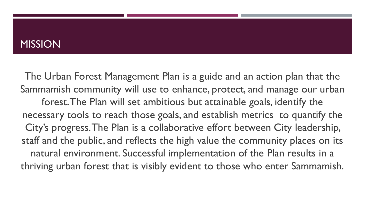#### **MISSION**

The Urban Forest Management Plan is a guide and an action plan that the Sammamish community will use to enhance, protect, and manage our urban forest. The Plan will set ambitious but attainable goals, identify the necessary tools to reach those goals, and establish metrics to quantify the City's progress. The Plan is a collaborative effort between City leadership, staff and the public, and reflects the high value the community places on its natural environment. Successful implementation of the Plan results in a thriving urban forest that is visibly evident to those who enter Sammamish.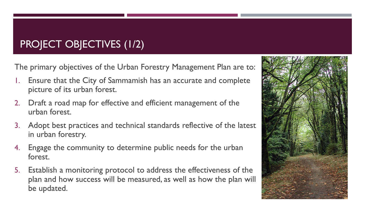## PROJECT OBJECTIVES (1/2)

The primary objectives of the Urban Forestry Management Plan are to:

- Ensure that the City of Sammamish has an accurate and complete picture of its urban forest.
- 2. Draft a road map for effective and efficient management of the urban forest.
- 3. Adopt best practices and technical standards reflective of the latest in urban forestry.
- 4. Engage the community to determine public needs for the urban forest.
- 5. Establish a monitoring protocol to address the effectiveness of the plan and how success will be measured, as well as how the plan will be updated.

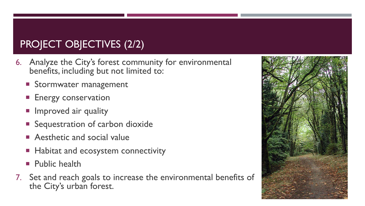## PROJECT OBJECTIVES (2/2)

- 6. Analyze the City's forest community for environmental benefits, including but not limited to:
	- **Stormwater management**
	- **Energy conservation**
	- **Improved air quality**
	- **Sequestration of carbon dioxide**
	- **Aesthetic and social value**
	- Habitat and ecosystem connectivity
	- **Public health**
- 7. Set and reach goals to increase the environmental benefits of the City's urban forest.

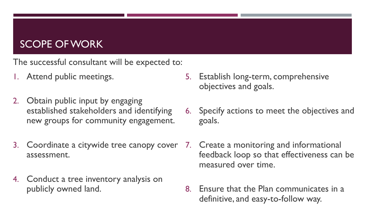## SCOPE OF WORK

The successful consultant will be expected to:

- 1. Attend public meetings.
- 2. Obtain public input by engaging established stakeholders and identifying new groups for community engagement.
- 3. Coordinate a citywide tree canopy cover assessment.
- 4. Conduct a tree inventory analysis on publicly owned land.
- 5. Establish long-term, comprehensive objectives and goals.
- 6. Specify actions to meet the objectives and goals.
- 7. Create a monitoring and informational feedback loop so that effectiveness can be measured over time.
- 8. Ensure that the Plan communicates in a definitive, and easy-to-follow way.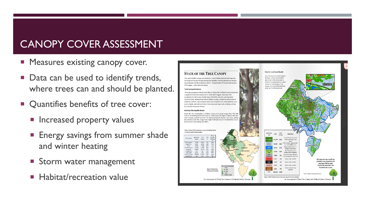## CANOPY COVER ASSESSMENT

- **Measures existing canopy cover.**
- Data can be used to identify trends, where trees can and should be planted.
- **Quantifies benefits of tree cover:** 
	- **Increased property values**
	- **Energy savings from summer shade** and winter heating
	- Storm water management
	- Habitat/recreation value

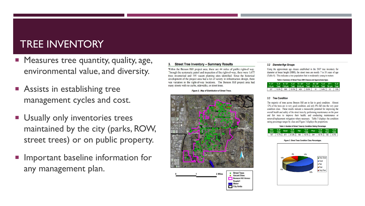### TREE INVENTORY

- **Measures tree quantity, quality, age,** environmental value, and diversity.
- **Assists in establishing tree** management cycles and cost.
- **Usually only inventories trees** maintained by the city (parks, ROW, street trees) or on public property.
- **Important baseline information for** any management plan.

#### 3. Street Tree Inventory - Summary Results

Within the Benson Hill project area, there are 44 miles of public right-of way. Through the systematic patrol and inspection of the right-of-way, there were 1.677 trees inventoried and 195 vacant planting sites identified. Since the historical development of the project area had a lot of variety in infrastructure design, there was variation in the right-of-way locations. The Benson Hill project area had many streets with no curbs, sidewalks, or street trees.

**Figure 2. Map of Distribution of Street Trees.** 





#### 3.2 Diameter/Age Groups

Using the approximate age classes established in the 2007 tree inventory for diameter at breast height (DBH), the street trees are mostly 7 to 50 years of age (Table 4). This indicates a tree population that is moderately young to mature.

Table 4. Summary of Street Trees DBH Classes and Approximate Ages.

|     |              |           |       | 1-3" % of  4-12"   % of  13-24"   % of  25-36"   % of  37"+    % of        |         |      |
|-----|--------------|-----------|-------|----------------------------------------------------------------------------|---------|------|
|     |              |           |       | 1-6 yrs Total 7-24 yrs Total 25-50 yrs Total 51-75 yrs Total 76+ yrs Total |         |      |
| 227 | $13.5\%$ 898 | 53.5% 429 | 25.6% | 91                                                                         | 5.4% 32 | 1.9% |

#### 3.3 Tree Condition

The majority of trees across Benson Hill are in fair to good condition. Almost 12% of the trees are in very good condition, and only 8% fall into the very poor condition class. These results indicate a measurable potential for improving the overall health and safety of the street trees by performing maintenance on the poor and fair trees to improve their health, and conducting maintenance or removal/replacement mitigation where necessary. Table 5 displays the condition rating percentage ranges by class and Figure 3 displays the proportions.



**Figure 3: Street Trees Condition Class Percentages** 

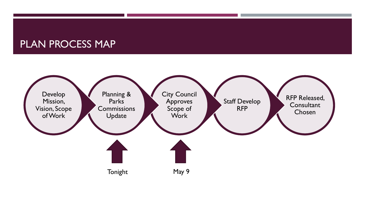### PLAN PROCESS MAP